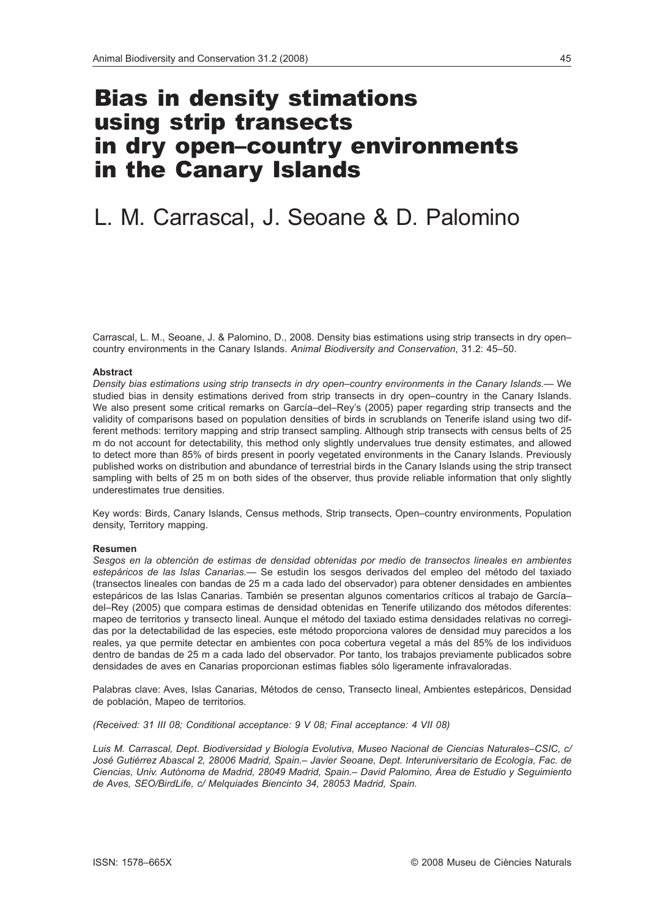## Bias in density stimations using strip transects in dry open–country environments in the Canary Islands

# L. M. Carrascal, J. Seoane & D. Palomino

Carrascal, L. M., Seoane, J. & Palomino, D., 2008. Density bias estimations using strip transects in dry open– country environments in the Canary Islands. *Animal Biodiversity and Conservation*, 31.2: 45–50.

#### **Abstract**

*Density bias estimations using strip transects in dry open–country environments in the Canary Islands.—* We studied bias in density estimations derived from strip transects in dry open–country in the Canary Islands. We also present some critical remarks on García-del-Rey's (2005) paper regarding strip transects and the validity of comparisons based on population densities of birds in scrublands on Tenerife island using two different methods: territory mapping and strip transect sampling. Although strip transects with census belts of 25 m do not account for detectability, this method only slightly undervalues true density estimates, and allowed to detect more than 85% of birds present in poorly vegetated environments in the Canary Islands. Previously published works on distribution and abundance of terrestrial birds in the Canary Islands using the strip transect sampling with belts of 25 m on both sides of the observer, thus provide reliable information that only slightly underestimates true densities.

Key words: Birds, Canary Islands, Census methods, Strip transects, Open–country environments, Population density, Territory mapping.

#### **Resumen**

*Sesgos en la obtención de estimas de densidad obtenidas por medio de transectos lineales en ambientes estepáricos de las Islas Canarias.—* Se estudin los sesgos derivados del empleo del método del taxiado (transectos lineales con bandas de 25 m a cada lado del observador) para obtener densidades en ambientes estepáricos de las Islas Canarias. También se presentan algunos comentarios críticos al trabajo de García– del–Rey (2005) que compara estimas de densidad obtenidas en Tenerife utilizando dos métodos diferentes: mapeo de territorios y transecto lineal. Aunque el método del taxiado estima densidades relativas no corregidas por la detectabilidad de las especies, este método proporciona valores de densidad muy parecidos a los reales, ya que permite detectar en ambientes con poca cobertura vegetal a más del 85% de los individuos dentro de bandas de 25 m a cada lado del observador. Por tanto, los trabajos previamente publicados sobre densidades de aves en Canarias proporcionan estimas fiables sólo ligeramente infravaloradas.

Palabras clave: Aves, Islas Canarias, Métodos de censo, Transecto lineal, Ambientes estepáricos, Densidad de población, Mapeo de territorios.

*(Received: 31 III 08; Conditional acceptance: 9 V 08; Final acceptance: 4 VII 08)*

*Luis M. Carrascal, Dept. Biodiversidad y Biología Evolutiva, Museo Nacional de Ciencias Naturales–CSIC, c/ José Gutiérrez Abascal 2, 28006 Madrid, Spain.– Javier Seoane, Dept. Interuniversitario de Ecología, Fac. de Ciencias, Univ. Autónoma de Madrid, 28049 Madrid, Spain.– David Palomino, Área de Estudio y Seguimiento de Aves, SEO/BirdLife, c/ Melquiades Biencinto 34, 28053 Madrid, Spain.*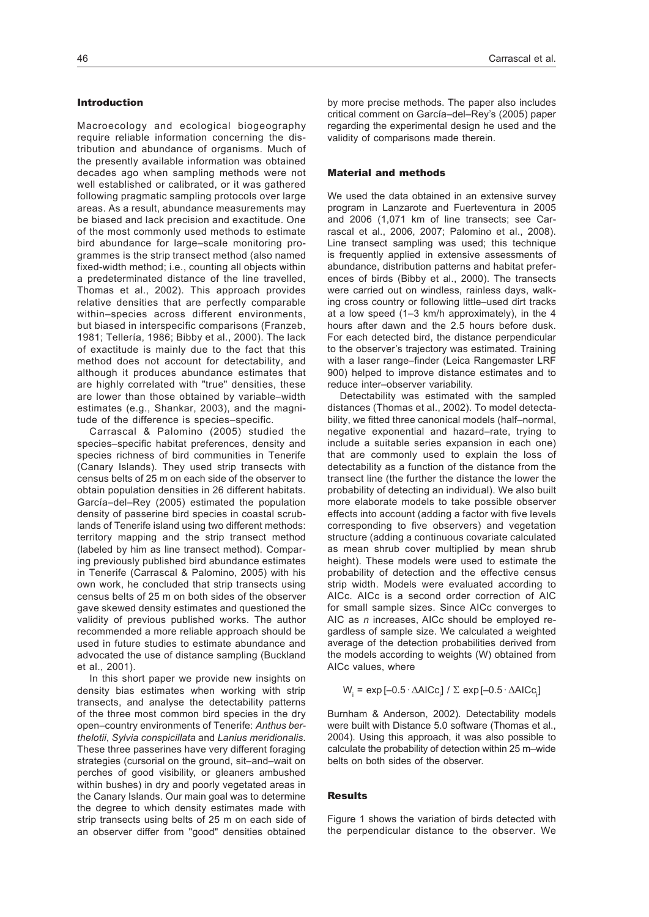#### Introduction

Macroecology and ecological biogeography require reliable information concerning the distribution and abundance of organisms. Much of the presently available information was obtained decades ago when sampling methods were not well established or calibrated, or it was gathered following pragmatic sampling protocols over large areas. As a result, abundance measurements may be biased and lack precision and exactitude. One of the most commonly used methods to estimate bird abundance for large–scale monitoring programmes is the strip transect method (also named fixed-width method; i.e., counting all objects within a predeterminated distance of the line travelled, Thomas et al., 2002). This approach provides relative densities that are perfectly comparable within–species across different environments, but biased in interspecific comparisons (Franzeb, 1981; Tellería, 1986; Bibby et al., 2000). The lack of exactitude is mainly due to the fact that this method does not account for detectability, and although it produces abundance estimates that are highly correlated with "true" densities, these are lower than those obtained by variable–width estimates (e.g., Shankar, 2003), and the magnitude of the difference is species–specific.

Carrascal & Palomino (2005) studied the species–specific habitat preferences, density and species richness of bird communities in Tenerife (Canary Islands). They used strip transects with census belts of 25 m on each side of the observer to obtain population densities in 26 different habitats. García–del–Rey (2005) estimated the population density of passerine bird species in coastal scrublands of Tenerife island using two different methods: territory mapping and the strip transect method (labeled by him as line transect method). Comparing previously published bird abundance estimates in Tenerife (Carrascal & Palomino, 2005) with his own work, he concluded that strip transects using census belts of 25 m on both sides of the observer gave skewed density estimates and questioned the validity of previous published works. The author recommended a more reliable approach should be used in future studies to estimate abundance and advocated the use of distance sampling (Buckland et al., 2001).

In this short paper we provide new insights on density bias estimates when working with strip transects, and analyse the detectability patterns of the three most common bird species in the dry open–country environments of Tenerife: *Anthus berthelotii*, *Sylvia conspicillata* and *Lanius meridionalis*. These three passerines have very different foraging strategies (cursorial on the ground, sit–and–wait on perches of good visibility, or gleaners ambushed within bushes) in dry and poorly vegetated areas in the Canary Islands. Our main goal was to determine the degree to which density estimates made with strip transects using belts of 25 m on each side of an observer differ from "good" densities obtained by more precise methods. The paper also includes critical comment on García–del–Rey's (2005) paper regarding the experimental design he used and the validity of comparisons made therein.

#### Material and methods

We used the data obtained in an extensive survey program in Lanzarote and Fuerteventura in 2005 and 2006 (1,071 km of line transects; see Carrascal et al., 2006, 2007; Palomino et al., 2008). Line transect sampling was used; this technique is frequently applied in extensive assessments of abundance, distribution patterns and habitat preferences of birds (Bibby et al., 2000). The transects were carried out on windless, rainless days, walking cross country or following little–used dirt tracks at a low speed (1–3 km/h approximately), in the 4 hours after dawn and the 2.5 hours before dusk. For each detected bird, the distance perpendicular to the observer's trajectory was estimated. Training with a laser range–finder (Leica Rangemaster LRF 900) helped to improve distance estimates and to reduce inter–observer variability.

Detectability was estimated with the sampled distances (Thomas et al., 2002). To model detectability, we fitted three canonical models (half–normal, negative exponential and hazard–rate, trying to include a suitable series expansion in each one) that are commonly used to explain the loss of detectability as a function of the distance from the transect line (the further the distance the lower the probability of detecting an individual). We also built more elaborate models to take possible observer effects into account (adding a factor with five levels corresponding to five observers) and vegetation structure (adding a continuous covariate calculated as mean shrub cover multiplied by mean shrub height). These models were used to estimate the probability of detection and the effective census strip width. Models were evaluated according to AICc. AICc is a second order correction of AIC for small sample sizes. Since AICc converges to AIC as *n* increases, AICc should be employed regardless of sample size. We calculated a weighted average of the detection probabilities derived from the models according to weights (W) obtained from AICc values, where

 $W_i = \exp[-0.5 \cdot \Delta AICc_i] / \Sigma \exp[-0.5 \cdot \Delta AICc_i]$ 

Burnham & Anderson, 2002). Detectability models were built with Distance 5.0 software (Thomas et al., 2004). Using this approach, it was also possible to calculate the probability of detection within 25 m–wide belts on both sides of the observer.

#### Results

Figure 1 shows the variation of birds detected with the perpendicular distance to the observer. We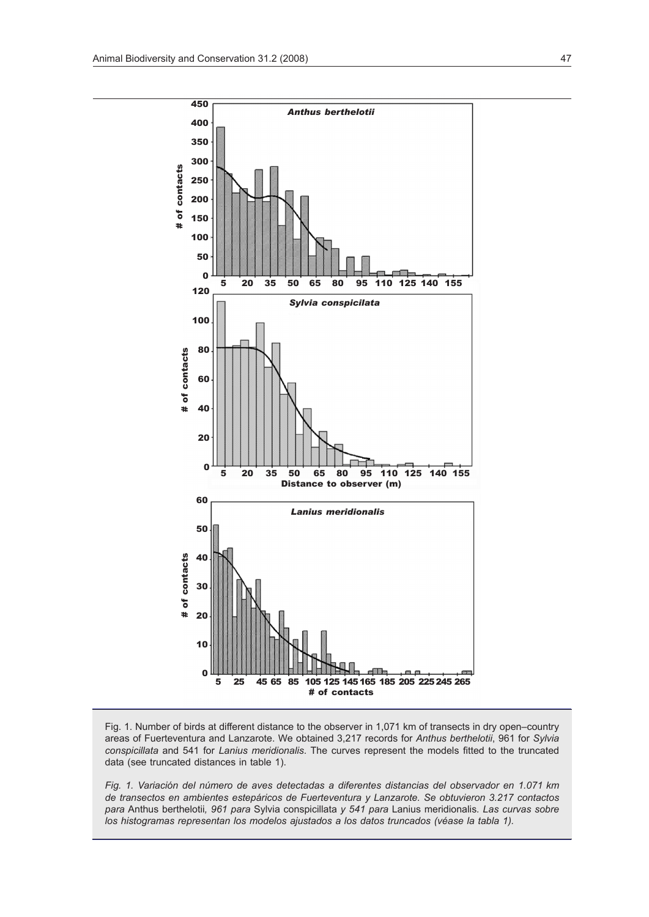

Fig. 1. Number of birds at different distance to the observer in 1,071 km of transects in dry open–country areas of Fuerteventura and Lanzarote. We obtained 3,217 records for *Anthus berthelotii*, 961 for *Sylvia conspicillata* and 541 for *Lanius meridionalis*. The curves represent the models fitted to the truncated data (see truncated distances in table 1).

*Fig. 1. Variación del número de aves detectadas a diferentes distancias del observador en 1.071 km de transectos en ambientes estepáricos de Fuerteventura y Lanzarote. Se obtuvieron 3.217 contactos para* Anthus berthelotii*, 961 para* Sylvia conspicillata *y 541 para* Lanius meridionalis*. Las curvas sobre los histogramas representan los modelos ajustados a los datos truncados (véase la tabla 1).*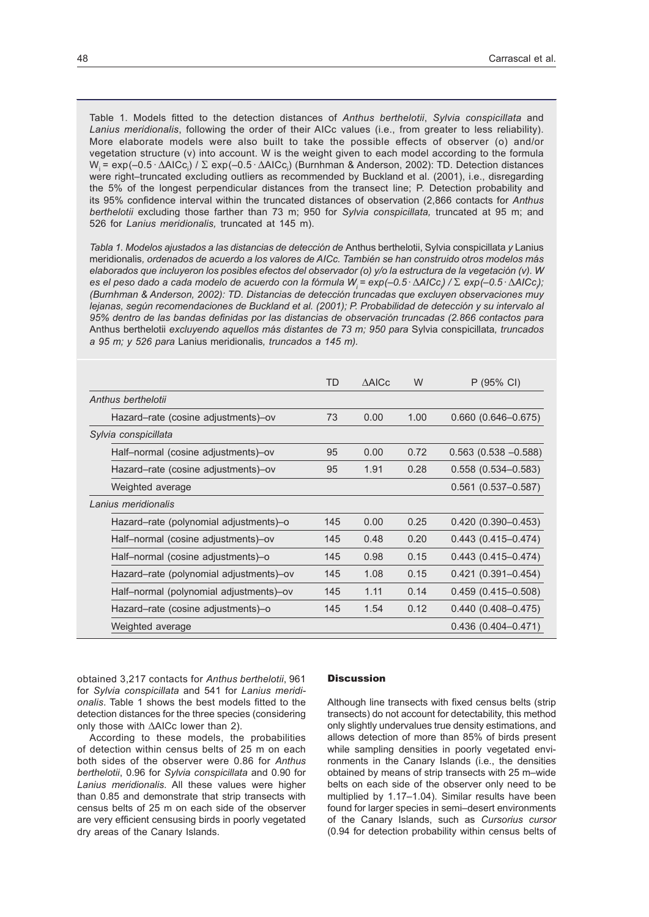Table 1. Models fitted to the detection distances of *Anthus berthelotii*, *Sylvia conspicillata* and *Lanius meridionalis*, following the order of their AICc values (i.e., from greater to less reliability). More elaborate models were also built to take the possible effects of observer (o) and/or vegetation structure (v) into account. W is the weight given to each model according to the formula W<sub>i</sub> = exp(-0.5 ·  $\Delta$ AICc<sub>i</sub>) /  $\Sigma$  exp(-0.5 ·  $\Delta$ AICc<sub>i</sub>) (Burnhman & Anderson, 2002): TD. Detection distances were right–truncated excluding outliers as recommended by Buckland et al. (2001), i.e., disregarding the 5% of the longest perpendicular distances from the transect line; P. Detection probability and its 95% confidence interval within the truncated distances of observation (2,866 contacts for *Anthus berthelotii* excluding those farther than 73 m; 950 for *Sylvia conspicillata,* truncated at 95 m; and 526 for *Lanius meridionalis,* truncated at 145 m).

*Tabla 1. Modelos ajustados a las distancias de detección de* Anthus berthelotii, Sylvia conspicillata *y* Lanius meridionalis*, ordenados de acuerdo a los valores de AICc. También se han construido otros modelos más elaborados que incluyeron los posibles efectos del observador (o) y/o la estructura de la vegetación (v). W es el peso dado a cada modelo de acuerdo con la fórmula Wi = exp(–0.5 ·*D*AICci ) /* S *exp(–0.5 ·*D*AICci ); (Burnhman & Anderson, 2002): TD. Distancias de detección truncadas que excluyen observaciones muy lejanas, según recomendaciones de Buckland et al. (2001); P. Probabilidad de detección y su intervalo al 95% dentro de las bandas definidas por las distancias de observación truncadas (2.866 contactos para*  Anthus berthelotii *excluyendo aquellos más distantes de 73 m; 950 para* Sylvia conspicillata*, truncados a 95 m; y 526 para* Lanius meridionalis*, truncados a 145 m).*

|                                         | TD  | <b>AAICc</b> | W    | P (95% CI)                |
|-----------------------------------------|-----|--------------|------|---------------------------|
| Anthus berthelotii                      |     |              |      |                           |
| Hazard–rate (cosine adjustments)–ov     | 73  | 0.00         | 1.00 | $0.660$ $(0.646 - 0.675)$ |
| Sylvia conspicillata                    |     |              |      |                           |
| Half-normal (cosine adjustments)-ov     | 95  | 0.00         | 0.72 | $0.563$ (0.538 $-0.588$ ) |
| Hazard-rate (cosine adjustments)-ov     | 95  | 1.91         | 0.28 | $0.558(0.534 - 0.583)$    |
| Weighted average                        |     |              |      | $0.561(0.537 - 0.587)$    |
| Lanius meridionalis                     |     |              |      |                           |
| Hazard-rate (polynomial adjustments)-o  | 145 | 0.00         | 0.25 | $0.420(0.390 - 0.453)$    |
| Half-normal (cosine adjustments)-ov     | 145 | 0.48         | 0.20 | $0.443(0.415 - 0.474)$    |
| Half-normal (cosine adjustments)-o      | 145 | 0.98         | 0.15 | $0.443(0.415 - 0.474)$    |
| Hazard-rate (polynomial adjustments)-ov | 145 | 1.08         | 0.15 | $0.421(0.391 - 0.454)$    |
| Half-normal (polynomial adjustments)-ov | 145 | 1.11         | 0.14 | $0.459(0.415 - 0.508)$    |
| Hazard–rate (cosine adjustments)–o      | 145 | 1.54         | 0.12 | $0.440(0.408 - 0.475)$    |
| Weighted average                        |     |              |      | $0.436(0.404 - 0.471)$    |

obtained 3,217 contacts for *Anthus berthelotii*, 961 for *Sylvia conspicillata* and 541 for *Lanius meridionalis*. Table 1 shows the best models fitted to the detection distances for the three species (considering only those with  $\triangle$ AICc lower than 2).

According to these models, the probabilities of detection within census belts of 25 m on each both sides of the observer were 0.86 for *Anthus berthelotii*, 0.96 for *Sylvia conspicillata* and 0.90 for *Lanius meridionalis*. All these values were higher than 0.85 and demonstrate that strip transects with census belts of 25 m on each side of the observer are very efficient censusing birds in poorly vegetated dry areas of the Canary Islands.

### **Discussion**

Although line transects with fixed census belts (strip transects) do not account for detectability, this method only slightly undervalues true density estimations, and allows detection of more than 85% of birds present while sampling densities in poorly vegetated environments in the Canary Islands (i.e., the densities obtained by means of strip transects with 25 m–wide belts on each side of the observer only need to be multiplied by 1.17–1.04). Similar results have been found for larger species in semi–desert environments of the Canary Islands, such as *Cursorius cursor* (0.94 for detection probability within census belts of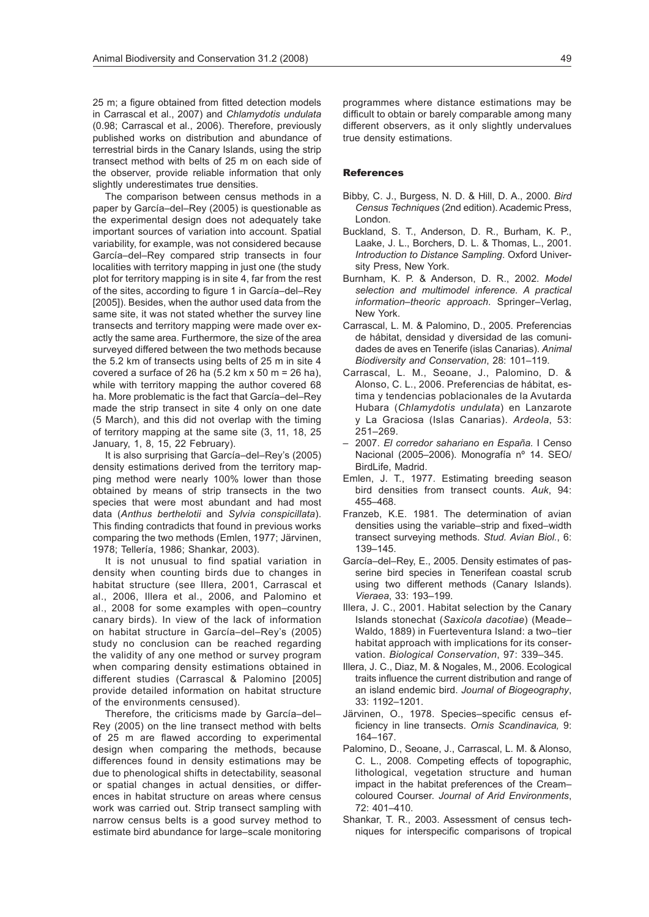25 m; a figure obtained from fitted detection models in Carrascal et al., 2007) and *Chlamydotis undulata* (0.98; Carrascal et al., 2006). Therefore, previously published works on distribution and abundance of terrestrial birds in the Canary Islands, using the strip transect method with belts of 25 m on each side of the observer, provide reliable information that only slightly underestimates true densities.

The comparison between census methods in a paper by García–del–Rey (2005) is questionable as the experimental design does not adequately take important sources of variation into account. Spatial variability, for example, was not considered because García–del–Rey compared strip transects in four localities with territory mapping in just one (the study plot for territory mapping is in site 4, far from the rest of the sites, according to figure 1 in García–del–Rey [2005]). Besides, when the author used data from the same site, it was not stated whether the survey line transects and territory mapping were made over exactly the same area. Furthermore, the size of the area surveyed differed between the two methods because the 5.2 km of transects using belts of 25 m in site 4 covered a surface of 26 ha  $(5.2 \text{ km} \times 50 \text{ m} = 26 \text{ ha})$ , while with territory mapping the author covered 68 ha. More problematic is the fact that García–del–Rey made the strip transect in site 4 only on one date (5 March), and this did not overlap with the timing of territory mapping at the same site (3, 11, 18, 25 January, 1, 8, 15, 22 February).

It is also surprising that García–del–Rey's (2005) density estimations derived from the territory mapping method were nearly 100% lower than those obtained by means of strip transects in the two species that were most abundant and had most data (*Anthus berthelotii* and *Sylvia conspicillata*). This finding contradicts that found in previous works comparing the two methods (Emlen, 1977; Järvinen, 1978; Tellería, 1986; Shankar, 2003).

It is not unusual to find spatial variation in density when counting birds due to changes in habitat structure (see Illera, 2001, Carrascal et al., 2006, Illera et al., 2006, and Palomino et al., 2008 for some examples with open–country canary birds). In view of the lack of information on habitat structure in García–del–Rey's (2005) study no conclusion can be reached regarding the validity of any one method or survey program when comparing density estimations obtained in different studies (Carrascal & Palomino [2005] provide detailed information on habitat structure of the environments censused).

Therefore, the criticisms made by García–del– Rey (2005) on the line transect method with belts of 25 m are flawed according to experimental design when comparing the methods, because differences found in density estimations may be due to phenological shifts in detectability, seasonal or spatial changes in actual densities, or differences in habitat structure on areas where census work was carried out. Strip transect sampling with narrow census belts is a good survey method to estimate bird abundance for large–scale monitoring programmes where distance estimations may be difficult to obtain or barely comparable among many different observers, as it only slightly undervalues true density estimations.

#### References

- Bibby, C. J., Burgess, N. D. & Hill, D. A., 2000. *Bird Census Techniques* (2nd edition). Academic Press, London.
- Buckland, S. T., Anderson, D. R., Burham, K. P., Laake, J. L., Borchers, D. L. & Thomas, L., 2001. *Introduction to Distance Sampling*. Oxford University Press, New York.
- Burnham, K. P. & Anderson, D. R., 2002. *Model selection and multimodel inference. A practical information–theoric approach*. Springer–Verlag, New York.
- Carrascal, L. M. & Palomino, D., 2005. Preferencias de hábitat, densidad y diversidad de las comunidades de aves en Tenerife (islas Canarias). *Animal Biodiversity and Conservation*, 28: 101–119.
- Carrascal, L. M., Seoane, J., Palomino, D. & Alonso, C. L., 2006. Preferencias de hábitat, estima y tendencias poblacionales de la Avutarda Hubara (*Chlamydotis undulata*) en Lanzarote y La Graciosa (Islas Canarias). *Ardeola*, 53: 251–269.
- 2007. *El corredor sahariano en España.* I Censo Nacional (2005–2006). Monografía nº 14. SEO/ BirdLife, Madrid.
- Emlen, J. T., 1977. Estimating breeding season bird densities from transect counts. *Auk*, 94: 455–468.
- Franzeb, K.E. 1981. The determination of avian densities using the variable–strip and fixed–width transect surveying methods. *Stud. Avian Biol.*, 6: 139–145.
- García–del–Rey, E., 2005. Density estimates of passerine bird species in Tenerifean coastal scrub using two different methods (Canary Islands). *Vieraea*, 33: 193–199.
- Illera, J. C., 2001. Habitat selection by the Canary Islands stonechat (*Saxicola dacotiae*) (Meade– Waldo, 1889) in Fuerteventura Island: a two–tier habitat approach with implications for its conservation. *Biological Conservation*, 97: 339–345.
- Illera, J. C., Diaz, M. & Nogales, M., 2006. Ecological traits influence the current distribution and range of an island endemic bird. *Journal of Biogeography*, 33: 1192–1201.
- Järvinen, O., 1978. Species–specific census efficiency in line transects. *Ornis Scandinavica,* 9: 164–167.
- Palomino, D., Seoane, J., Carrascal, L. M. & Alonso, C. L., 2008. Competing effects of topographic, lithological, vegetation structure and human impact in the habitat preferences of the Cream– coloured Courser. *Journal of Arid Environments*,  $72 \cdot 401 - 410$
- Shankar, T. R., 2003. Assessment of census techniques for interspecific comparisons of tropical